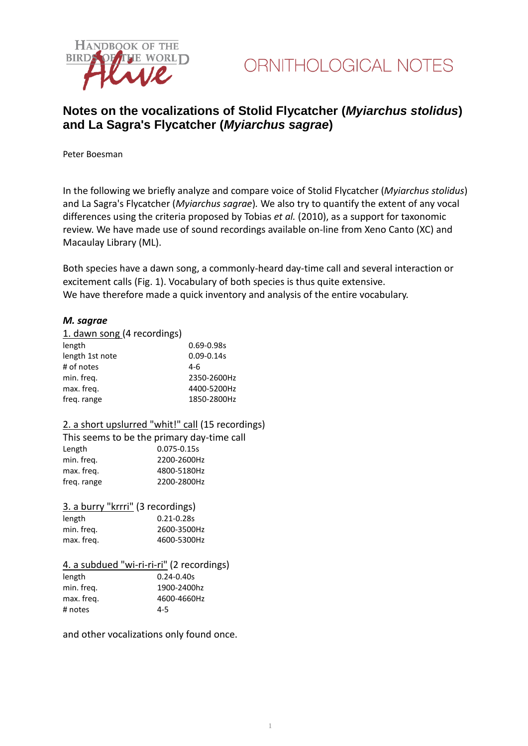



### **Notes on the vocalizations of Stolid Flycatcher (***Myiarchus stolidus***) and La Sagra's Flycatcher (***Myiarchus sagrae***)**

Peter Boesman

In the following we briefly analyze and compare voice of Stolid Flycatcher (*Myiarchus stolidus*) and La Sagra's Flycatcher (*Myiarchus sagrae*)*.* We also try to quantify the extent of any vocal differences using the criteria proposed by Tobias *et al.* (2010), as a support for taxonomic review. We have made use of sound recordings available on-line from Xeno Canto (XC) and Macaulay Library (ML).

Both species have a dawn song, a commonly-heard day-time call and several interaction or excitement calls (Fig. 1). Vocabulary of both species is thus quite extensive. We have therefore made a quick inventory and analysis of the entire vocabulary.

#### *M. sagrae*

#### 1. dawn song (4 recordings)

| $0.69 - 0.98s$ |
|----------------|
| $0.09 - 0.14s$ |
| 4-6            |
| 2350-2600Hz    |
| 4400-5200Hz    |
| 1850-2800Hz    |
|                |

#### 2. a short upslurred "whit!" call (15 recordings)

This seems to be the primary day-time call Length 0.075-0.15s min. freq. 2200-2600Hz max. freq. 4800-5180Hz freq. range 2200-2800Hz

#### 3. a burry "krrri" (3 recordings)

| $0.21 - 0.28s$ |
|----------------|
| 2600-3500Hz    |
| 4600-5300Hz    |
|                |

#### 4. a subdued "wi-ri-ri-ri" (2 recordings)

| length     | $0.24 - 0.40s$ |
|------------|----------------|
| min. freg. | 1900-2400hz    |
| max. freg. | 4600-4660Hz    |
| # notes    | $4 - 5$        |

and other vocalizations only found once.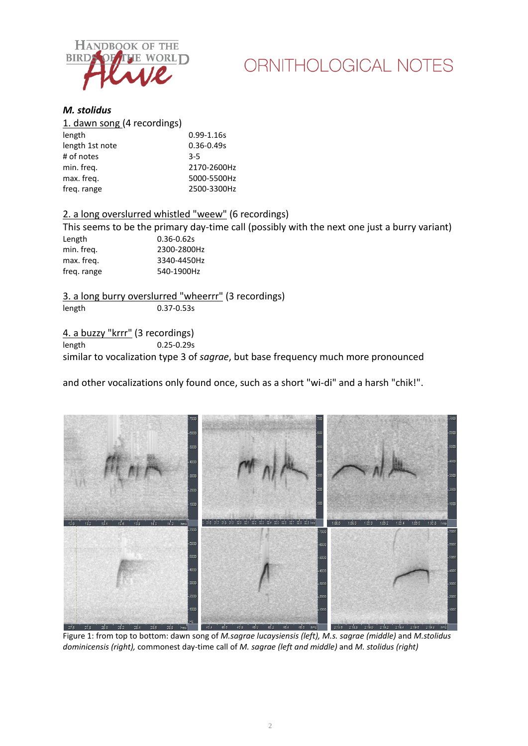

# ORNITHOLOGICAL NOTES

#### *M. stolidus*

| 1. dawn song (4 recordings) |                |
|-----------------------------|----------------|
| length                      | $0.99 - 1.16s$ |
| length 1st note             | $0.36 - 0.49s$ |
| # of notes                  | $3 - 5$        |
| min. freg.                  | 2170-2600Hz    |
| max. freq.                  | 5000-5500Hz    |
| freq. range                 | 2500-3300Hz    |
|                             |                |

### 2. a long overslurred whistled "weew" (6 recordings)

This seems to be the primary day-time call (possibly with the next one just a burry variant) Length 0.36-0.62s<br>min. freq. 2300-2800 2300-2800Hz max. freq. 3340-4450Hz freq. range 540-1900Hz

3. a long burry overslurred "wheerrr" (3 recordings) length 0.37-0.53s

4. a buzzy "krrr" (3 recordings)<br>length 0.25-0.29s  $0.25 - 0.29s$ similar to vocalization type 3 of *sagrae*, but base frequency much more pronounced

and other vocalizations only found once, such as a short "wi-di" and a harsh "chik!".



Figure 1: from top to bottom: dawn song of *M.sagrae lucaysiensis (left), M.s. sagrae (middle)* and *M.stolidus dominicensis (right),* commonest day-time call of *M. sagrae (left and middle)* and *M. stolidus (right)*